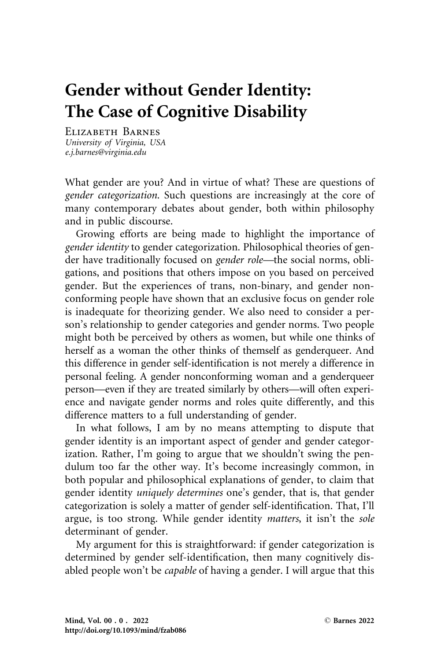# Gender without Gender Identity: The Case of Cognitive Disability

Elizabeth Barnes University of Virginia, USA e.j.barnes@virginia.edu

What gender are you? And in virtue of what? These are questions of gender categorization. Such questions are increasingly at the core of many contemporary debates about gender, both within philosophy and in public discourse.

Growing efforts are being made to highlight the importance of gender identity to gender categorization. Philosophical theories of gender have traditionally focused on gender role—the social norms, obligations, and positions that others impose on you based on perceived gender. But the experiences of trans, non-binary, and gender nonconforming people have shown that an exclusive focus on gender role is inadequate for theorizing gender. We also need to consider a person's relationship to gender categories and gender norms. Two people might both be perceived by others as women, but while one thinks of herself as a woman the other thinks of themself as genderqueer. And this difference in gender self-identification is not merely a difference in personal feeling. A gender nonconforming woman and a genderqueer person—even if they are treated similarly by others—will often experience and navigate gender norms and roles quite differently, and this difference matters to a full understanding of gender.

In what follows, I am by no means attempting to dispute that gender identity is an important aspect of gender and gender categorization. Rather, I'm going to argue that we shouldn't swing the pendulum too far the other way. It's become increasingly common, in both popular and philosophical explanations of gender, to claim that gender identity uniquely determines one's gender, that is, that gender categorization is solely a matter of gender self-identification. That, I'll argue, is too strong. While gender identity matters, it isn't the sole determinant of gender.

My argument for this is straightforward: if gender categorization is determined by gender self-identification, then many cognitively disabled people won't be capable of having a gender. I will argue that this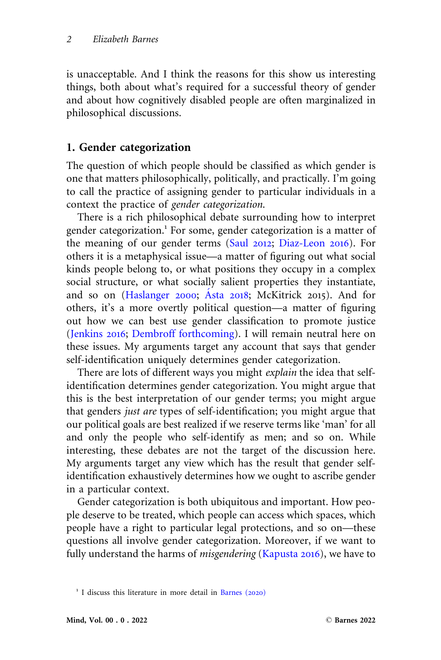is unacceptable. And I think the reasons for this show us interesting things, both about what's required for a successful theory of gender and about how cognitively disabled people are often marginalized in philosophical discussions.

## 1. Gender categorization

The question of which people should be classified as which gender is one that matters philosophically, politically, and practically. I'm going to call the practice of assigning gender to particular individuals in a context the practice of gender categorization.

There is a rich philosophical debate surrounding how to interpret gender categorization.<sup>1</sup> For some, gender categorization is a matter of the meaning of our gender terms [\(Saul](#page-27-0) 2012; [Diaz-Leon](#page-25-0) 2016). For others it is a metaphysical issue—a matter of figuring out what social kinds people belong to, or what positions they occupy in a complex social structure, or what socially salient properties they instantiate, and so on  $(Haslanger 2000; Asta 2018; McKitrick 2015)$  $(Haslanger 2000; Asta 2018; McKitrick 2015)$  $(Haslanger 2000; Asta 2018; McKitrick 2015)$  $(Haslanger 2000; Asta 2018; McKitrick 2015)$  $(Haslanger 2000; Asta 2018; McKitrick 2015)$ . And for others, it's a more overtly political question—a matter of figuring out how we can best use gender classification to promote justice ([Jenkins](#page-26-0) 2016; [Dembroff forthcoming](#page-25-0)). I will remain neutral here on these issues. My arguments target any account that says that gender self-identification uniquely determines gender categorization.

There are lots of different ways you might explain the idea that selfidentification determines gender categorization. You might argue that this is the best interpretation of our gender terms; you might argue that genders just are types of self-identification; you might argue that our political goals are best realized if we reserve terms like 'man' for all and only the people who self-identify as men; and so on. While interesting, these debates are not the target of the discussion here. My arguments target any view which has the result that gender selfidentification exhaustively determines how we ought to ascribe gender in a particular context.

Gender categorization is both ubiquitous and important. How people deserve to be treated, which people can access which spaces, which people have a right to particular legal protections, and so on—these questions all involve gender categorization. Moreover, if we want to fully understand the harms of *misgendering* [\(Kapusta](#page-26-0) 2016), we have to

 $1$  I discuss this literature in more detail in [Barnes \(](#page-25-0)2020)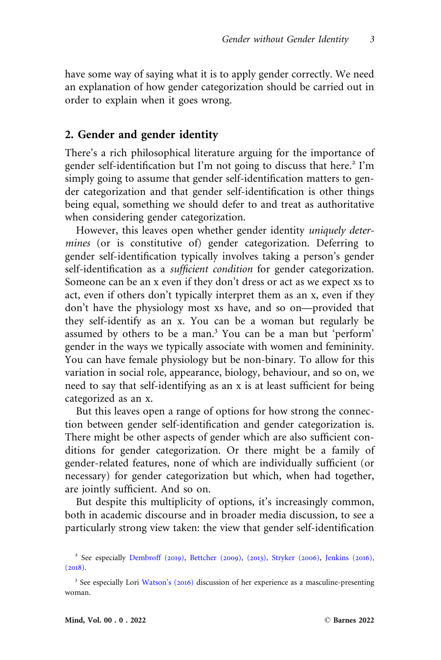have some way of saying what it is to apply gender correctly. We need an explanation of how gender categorization should be carried out in order to explain when it goes wrong.

### 2. Gender and gender identity

There's a rich philosophical literature arguing for the importance of gender self-identification but I'm not going to discuss that here.<sup>2</sup> I'm simply going to assume that gender self-identification matters to gender categorization and that gender self-identification is other things being equal, something we should defer to and treat as authoritative when considering gender categorization.

However, this leaves open whether gender identity *uniquely deter*mines (or is constitutive of) gender categorization. Deferring to gender self-identification typically involves taking a person's gender self-identification as a *sufficient condition* for gender categorization. Someone can be an x even if they don't dress or act as we expect xs to act, even if others don't typically interpret them as an x, even if they don't have the physiology most xs have, and so on—provided that they self-identify as an x. You can be a woman but regularly be assumed by others to be a man.<sup>3</sup> You can be a man but 'perform' gender in the ways we typically associate with women and femininity. You can have female physiology but be non-binary. To allow for this variation in social role, appearance, biology, behaviour, and so on, we need to say that self-identifying as an x is at least sufficient for being categorized as an x.

But this leaves open a range of options for how strong the connection between gender self-identification and gender categorization is. There might be other aspects of gender which are also sufficient conditions for gender categorization. Or there might be a family of gender-related features, none of which are individually sufficient (or necessary) for gender categorization but which, when had together, are jointly sufficient. And so on.

But despite this multiplicity of options, it's increasingly common, both in academic discourse and in broader media discussion, to see a particularly strong view taken: the view that gender self-identification

<sup>2</sup> See especially [Dembroff \(](#page-25-0)2019), [Bettcher \(](#page-25-0)2009), (2013), [Stryker \(](#page-27-0)2006), [Jenkins \(](#page-26-0)2016),  $(2018).$  $(2018).$  $(2018).$ 

<sup>3</sup> See especially Lori [Watson's \(](#page-27-0)2016) discussion of her experience as a masculine-presenting woman.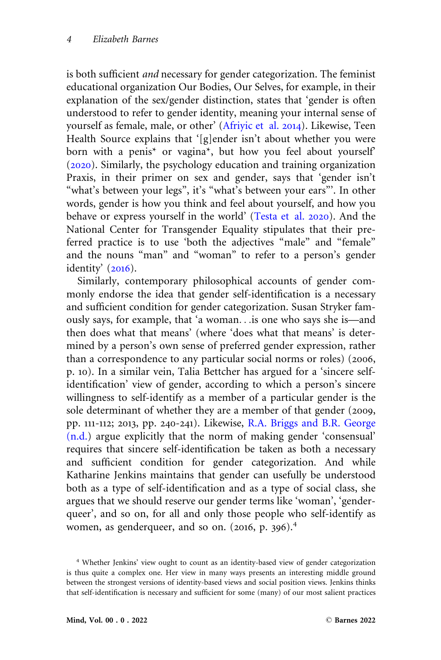is both sufficient and necessary for gender categorization. The feminist educational organization Our Bodies, Our Selves, for example, in their explanation of the sex/gender distinction, states that 'gender is often understood to refer to gender identity, meaning your internal sense of yourself as female, male, or other' ([Afriyic et al.](#page-25-0) 2014). Likewise, Teen Health Source explains that '[g]ender isn't about whether you were born with a penis\* or vagina\*, but how you feel about yourself' ([2020](#page-27-0)). Similarly, the psychology education and training organization Praxis, in their primer on sex and gender, says that 'gender isn't "what's between your legs", it's "what's between your ears"'. In other words, gender is how you think and feel about yourself, and how you behave or express yourself in the world' [\(Testa et al.](#page-27-0) 2020). And the National Center for Transgender Equality stipulates that their preferred practice is to use 'both the adjectives "male" and "female" and the nouns "man" and "woman" to refer to a person's gender identity'  $(2016)$  $(2016)$  $(2016)$ .

Similarly, contemporary philosophical accounts of gender commonly endorse the idea that gender self-identification is a necessary and sufficient condition for gender categorization. Susan Stryker famously says, for example, that 'a woman...is one who says she is—and then does what that means' (where 'does what that means' is determined by a person's own sense of preferred gender expression, rather than a correspondence to any particular social norms or roles) (2006, p. 10). In a similar vein, Talia Bettcher has argued for a 'sincere selfidentification' view of gender, according to which a person's sincere willingness to self-identify as a member of a particular gender is the sole determinant of whether they are a member of that gender (2009, pp. 111-112; 2013, pp. 240-241). Likewise, [R.A. Briggs and B.R. George](#page-25-0) [\(n.d.\)](#page-25-0) argue explicitly that the norm of making gender 'consensual' requires that sincere self-identification be taken as both a necessary and sufficient condition for gender categorization. And while Katharine Jenkins maintains that gender can usefully be understood both as a type of self-identification and as a type of social class, she argues that we should reserve our gender terms like 'woman', 'genderqueer', and so on, for all and only those people who self-identify as women, as genderqueer, and so on. (2016, p. 396).<sup>4</sup>

<sup>4</sup> Whether Jenkins' view ought to count as an identity-based view of gender categorization is thus quite a complex one. Her view in many ways presents an interesting middle ground between the strongest versions of identity-based views and social position views. Jenkins thinks that self-identification is necessary and sufficient for some (many) of our most salient practices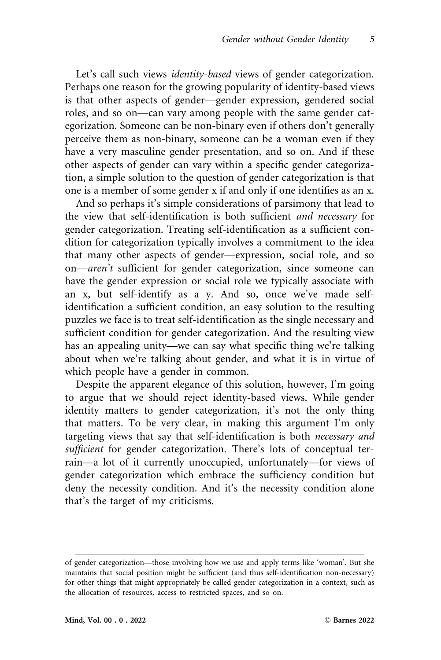Let's call such views *identity-based* views of gender categorization. Perhaps one reason for the growing popularity of identity-based views is that other aspects of gender—gender expression, gendered social roles, and so on—can vary among people with the same gender categorization. Someone can be non-binary even if others don't generally perceive them as non-binary, someone can be a woman even if they have a very masculine gender presentation, and so on. And if these other aspects of gender can vary within a specific gender categorization, a simple solution to the question of gender categorization is that one is a member of some gender x if and only if one identifies as an x.

And so perhaps it's simple considerations of parsimony that lead to the view that self-identification is both sufficient and necessary for gender categorization. Treating self-identification as a sufficient condition for categorization typically involves a commitment to the idea that many other aspects of gender—expression, social role, and so on—aren't sufficient for gender categorization, since someone can have the gender expression or social role we typically associate with an x, but self-identify as a y. And so, once we've made selfidentification a sufficient condition, an easy solution to the resulting puzzles we face is to treat self-identification as the single necessary and sufficient condition for gender categorization. And the resulting view has an appealing unity—we can say what specific thing we're talking about when we're talking about gender, and what it is in virtue of which people have a gender in common.

Despite the apparent elegance of this solution, however, I'm going to argue that we should reject identity-based views. While gender identity matters to gender categorization, it's not the only thing that matters. To be very clear, in making this argument I'm only targeting views that say that self-identification is both necessary and sufficient for gender categorization. There's lots of conceptual terrain—a lot of it currently unoccupied, unfortunately—for views of gender categorization which embrace the sufficiency condition but deny the necessity condition. And it's the necessity condition alone that's the target of my criticisms.

of gender categorization—those involving how we use and apply terms like 'woman'. But she maintains that social position might be sufficient (and thus self-identification non-necessary) for other things that might appropriately be called gender categorization in a context, such as the allocation of resources, access to restricted spaces, and so on.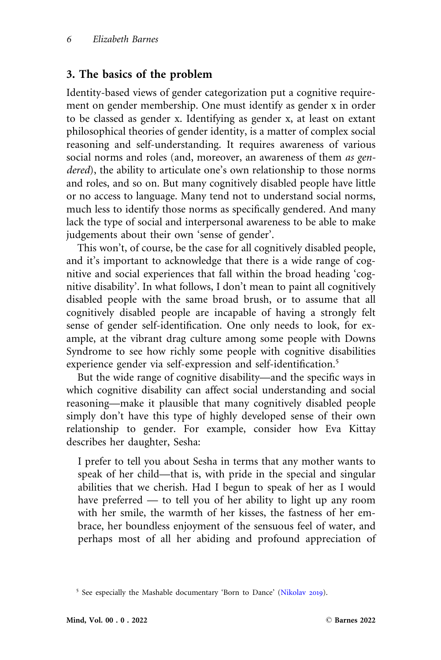## 3. The basics of the problem

Identity-based views of gender categorization put a cognitive requirement on gender membership. One must identify as gender x in order to be classed as gender x. Identifying as gender x, at least on extant philosophical theories of gender identity, is a matter of complex social reasoning and self-understanding. It requires awareness of various social norms and roles (and, moreover, an awareness of them as gendered), the ability to articulate one's own relationship to those norms and roles, and so on. But many cognitively disabled people have little or no access to language. Many tend not to understand social norms, much less to identify those norms as specifically gendered. And many lack the type of social and interpersonal awareness to be able to make judgements about their own 'sense of gender'.

This won't, of course, be the case for all cognitively disabled people, and it's important to acknowledge that there is a wide range of cognitive and social experiences that fall within the broad heading 'cognitive disability'. In what follows, I don't mean to paint all cognitively disabled people with the same broad brush, or to assume that all cognitively disabled people are incapable of having a strongly felt sense of gender self-identification. One only needs to look, for example, at the vibrant drag culture among some people with Downs Syndrome to see how richly some people with cognitive disabilities experience gender via self-expression and self-identification.<sup>5</sup>

But the wide range of cognitive disability—and the specific ways in which cognitive disability can affect social understanding and social reasoning—make it plausible that many cognitively disabled people simply don't have this type of highly developed sense of their own relationship to gender. For example, consider how Eva Kittay describes her daughter, Sesha:

I prefer to tell you about Sesha in terms that any mother wants to speak of her child—that is, with pride in the special and singular abilities that we cherish. Had I begun to speak of her as I would have preferred — to tell you of her ability to light up any room with her smile, the warmth of her kisses, the fastness of her embrace, her boundless enjoyment of the sensuous feel of water, and perhaps most of all her abiding and profound appreciation of

<sup>&</sup>lt;sup>5</sup> See especially the Mashable documentary 'Born to Dance' ([Nikolav](#page-27-0) 2019).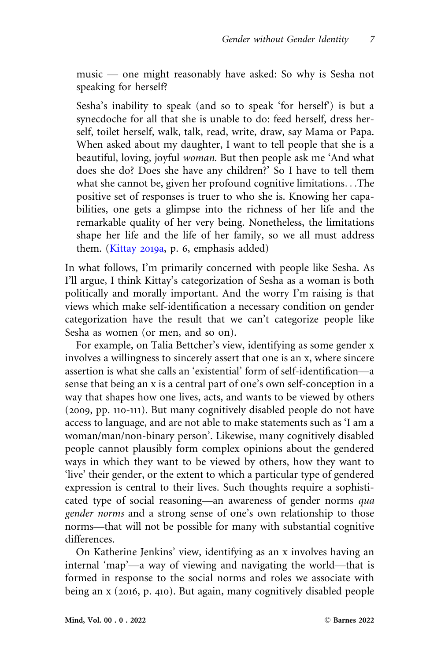music — one might reasonably have asked: So why is Sesha not speaking for herself?

Sesha's inability to speak (and so to speak 'for herself') is but a synecdoche for all that she is unable to do: feed herself, dress herself, toilet herself, walk, talk, read, write, draw, say Mama or Papa. When asked about my daughter, I want to tell people that she is a beautiful, loving, joyful woman. But then people ask me 'And what does she do? Does she have any children?' So I have to tell them what she cannot be, given her profound cognitive limitations...The positive set of responses is truer to who she is. Knowing her capabilities, one gets a glimpse into the richness of her life and the remarkable quality of her very being. Nonetheless, the limitations shape her life and the life of her family, so we all must address them. [\(Kittay](#page-26-0) 2019a, p. 6, emphasis added)

In what follows, I'm primarily concerned with people like Sesha. As I'll argue, I think Kittay's categorization of Sesha as a woman is both politically and morally important. And the worry I'm raising is that views which make self-identification a necessary condition on gender categorization have the result that we can't categorize people like Sesha as women (or men, and so on).

For example, on Talia Bettcher's view, identifying as some gender x involves a willingness to sincerely assert that one is an x, where sincere assertion is what she calls an 'existential' form of self-identification—a sense that being an x is a central part of one's own self-conception in a way that shapes how one lives, acts, and wants to be viewed by others (2009, pp. 110-111). But many cognitively disabled people do not have access to language, and are not able to make statements such as 'I am a woman/man/non-binary person'. Likewise, many cognitively disabled people cannot plausibly form complex opinions about the gendered ways in which they want to be viewed by others, how they want to 'live' their gender, or the extent to which a particular type of gendered expression is central to their lives. Such thoughts require a sophisticated type of social reasoning—an awareness of gender norms qua gender norms and a strong sense of one's own relationship to those norms—that will not be possible for many with substantial cognitive differences.

On Katherine Jenkins' view, identifying as an x involves having an internal 'map'—a way of viewing and navigating the world—that is formed in response to the social norms and roles we associate with being an x (2016, p. 410). But again, many cognitively disabled people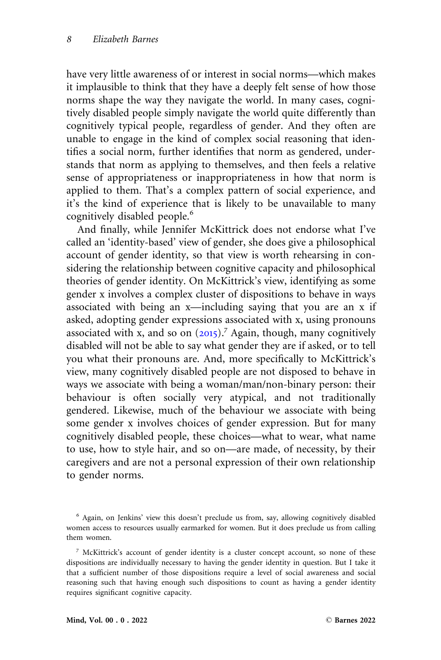have very little awareness of or interest in social norms—which makes it implausible to think that they have a deeply felt sense of how those norms shape the way they navigate the world. In many cases, cognitively disabled people simply navigate the world quite differently than cognitively typical people, regardless of gender. And they often are unable to engage in the kind of complex social reasoning that identifies a social norm, further identifies that norm as gendered, understands that norm as applying to themselves, and then feels a relative sense of appropriateness or inappropriateness in how that norm is applied to them. That's a complex pattern of social experience, and it's the kind of experience that is likely to be unavailable to many cognitively disabled people.<sup>6</sup>

And finally, while Jennifer McKittrick does not endorse what I've called an 'identity-based' view of gender, she does give a philosophical account of gender identity, so that view is worth rehearsing in considering the relationship between cognitive capacity and philosophical theories of gender identity. On McKittrick's view, identifying as some gender x involves a complex cluster of dispositions to behave in ways associated with being an x—including saying that you are an x if asked, adopting gender expressions associated with x, using pronouns associated with x, and so on  $(2015)$  $(2015)$  $(2015)$ .<sup>7</sup> Again, though, many cognitively disabled will not be able to say what gender they are if asked, or to tell you what their pronouns are. And, more specifically to McKittrick's view, many cognitively disabled people are not disposed to behave in ways we associate with being a woman/man/non-binary person: their behaviour is often socially very atypical, and not traditionally gendered. Likewise, much of the behaviour we associate with being some gender x involves choices of gender expression. But for many cognitively disabled people, these choices—what to wear, what name to use, how to style hair, and so on—are made, of necessity, by their caregivers and are not a personal expression of their own relationship to gender norms.

<sup>6</sup> Again, on Jenkins' view this doesn't preclude us from, say, allowing cognitively disabled women access to resources usually earmarked for women. But it does preclude us from calling them women.

<sup>&</sup>lt;sup>7</sup> McKittrick's account of gender identity is a cluster concept account, so none of these dispositions are individually necessary to having the gender identity in question. But I take it that a sufficient number of those dispositions require a level of social awareness and social reasoning such that having enough such dispositions to count as having a gender identity requires significant cognitive capacity.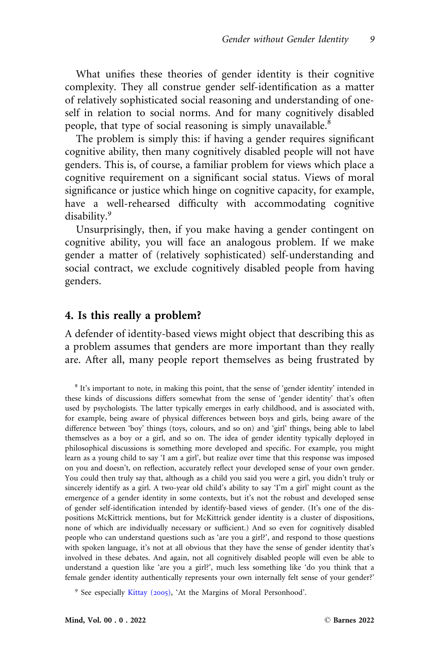What unifies these theories of gender identity is their cognitive complexity. They all construe gender self-identification as a matter of relatively sophisticated social reasoning and understanding of oneself in relation to social norms. And for many cognitively disabled people, that type of social reasoning is simply unavailable.<sup>8</sup>

The problem is simply this: if having a gender requires significant cognitive ability, then many cognitively disabled people will not have genders. This is, of course, a familiar problem for views which place a cognitive requirement on a significant social status. Views of moral significance or justice which hinge on cognitive capacity, for example, have a well-rehearsed difficulty with accommodating cognitive disability.<sup>9</sup>

Unsurprisingly, then, if you make having a gender contingent on cognitive ability, you will face an analogous problem. If we make gender a matter of (relatively sophisticated) self-understanding and social contract, we exclude cognitively disabled people from having genders.

## 4. Is this really a problem?

A defender of identity-based views might object that describing this as a problem assumes that genders are more important than they really are. After all, many people report themselves as being frustrated by

<sup>8</sup> It's important to note, in making this point, that the sense of 'gender identity' intended in these kinds of discussions differs somewhat from the sense of 'gender identity' that's often used by psychologists. The latter typically emerges in early childhood, and is associated with, for example, being aware of physical differences between boys and girls, being aware of the difference between 'boy' things (toys, colours, and so on) and 'girl' things, being able to label themselves as a boy or a girl, and so on. The idea of gender identity typically deployed in philosophical discussions is something more developed and specific. For example, you might learn as a young child to say 'I am a girl', but realize over time that this response was imposed on you and doesn't, on reflection, accurately reflect your developed sense of your own gender. You could then truly say that, although as a child you said you were a girl, you didn't truly or sincerely identify as a girl. A two-year old child's ability to say 'I'm a girl' might count as the emergence of a gender identity in some contexts, but it's not the robust and developed sense of gender self-identification intended by identify-based views of gender. (It's one of the dispositions McKittrick mentions, but for McKittrick gender identity is a cluster of dispositions, none of which are individually necessary or sufficient.) And so even for cognitively disabled people who can understand questions such as 'are you a girl?', and respond to those questions with spoken language, it's not at all obvious that they have the sense of gender identity that's involved in these debates. And again, not all cognitively disabled people will even be able to understand a question like 'are you a girl?', much less something like 'do you think that a female gender identity authentically represents your own internally felt sense of your gender?'

<sup>9</sup> See especially [Kittay \(](#page-26-0)2005), 'At the Margins of Moral Personhood'.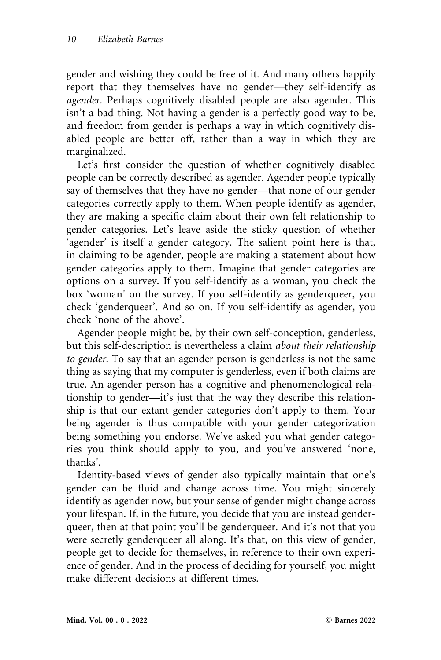gender and wishing they could be free of it. And many others happily report that they themselves have no gender—they self-identify as agender. Perhaps cognitively disabled people are also agender. This isn't a bad thing. Not having a gender is a perfectly good way to be, and freedom from gender is perhaps a way in which cognitively disabled people are better off, rather than a way in which they are marginalized.

Let's first consider the question of whether cognitively disabled people can be correctly described as agender. Agender people typically say of themselves that they have no gender—that none of our gender categories correctly apply to them. When people identify as agender, they are making a specific claim about their own felt relationship to gender categories. Let's leave aside the sticky question of whether 'agender' is itself a gender category. The salient point here is that, in claiming to be agender, people are making a statement about how gender categories apply to them. Imagine that gender categories are options on a survey. If you self-identify as a woman, you check the box 'woman' on the survey. If you self-identify as genderqueer, you check 'genderqueer'. And so on. If you self-identify as agender, you check 'none of the above'.

Agender people might be, by their own self-conception, genderless, but this self-description is nevertheless a claim about their relationship to gender. To say that an agender person is genderless is not the same thing as saying that my computer is genderless, even if both claims are true. An agender person has a cognitive and phenomenological relationship to gender—it's just that the way they describe this relationship is that our extant gender categories don't apply to them. Your being agender is thus compatible with your gender categorization being something you endorse. We've asked you what gender categories you think should apply to you, and you've answered 'none, thanks'.

Identity-based views of gender also typically maintain that one's gender can be fluid and change across time. You might sincerely identify as agender now, but your sense of gender might change across your lifespan. If, in the future, you decide that you are instead genderqueer, then at that point you'll be genderqueer. And it's not that you were secretly genderqueer all along. It's that, on this view of gender, people get to decide for themselves, in reference to their own experience of gender. And in the process of deciding for yourself, you might make different decisions at different times.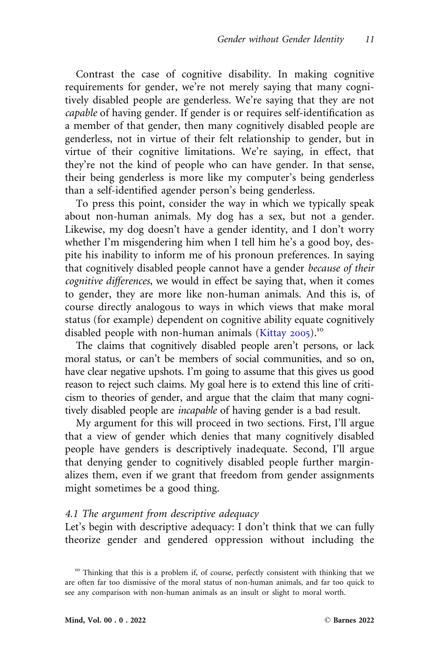Contrast the case of cognitive disability. In making cognitive requirements for gender, we're not merely saying that many cognitively disabled people are genderless. We're saying that they are not capable of having gender. If gender is or requires self-identification as a member of that gender, then many cognitively disabled people are genderless, not in virtue of their felt relationship to gender, but in virtue of their cognitive limitations. We're saying, in effect, that they're not the kind of people who can have gender. In that sense, their being genderless is more like my computer's being genderless than a self-identified agender person's being genderless.

To press this point, consider the way in which we typically speak about non-human animals. My dog has a sex, but not a gender. Likewise, my dog doesn't have a gender identity, and I don't worry whether I'm misgendering him when I tell him he's a good boy, despite his inability to inform me of his pronoun preferences. In saying that cognitively disabled people cannot have a gender because of their cognitive differences, we would in effect be saying that, when it comes to gender, they are more like non-human animals. And this is, of course directly analogous to ways in which views that make moral status (for example) dependent on cognitive ability equate cognitively disabled people with non-human animals ([Kittay](#page-26-0) 2005).<sup>10</sup>

The claims that cognitively disabled people aren't persons, or lack moral status, or can't be members of social communities, and so on, have clear negative upshots. I'm going to assume that this gives us good reason to reject such claims. My goal here is to extend this line of criticism to theories of gender, and argue that the claim that many cognitively disabled people are incapable of having gender is a bad result.

My argument for this will proceed in two sections. First, I'll argue that a view of gender which denies that many cognitively disabled people have genders is descriptively inadequate. Second, I'll argue that denying gender to cognitively disabled people further marginalizes them, even if we grant that freedom from gender assignments might sometimes be a good thing.

#### 4.1 The argument from descriptive adequacy

Let's begin with descriptive adequacy: I don't think that we can fully theorize gender and gendered oppression without including the

<sup>&</sup>lt;sup>10</sup> Thinking that this is a problem if, of course, perfectly consistent with thinking that we are often far too dismissive of the moral status of non-human animals, and far too quick to see any comparison with non-human animals as an insult or slight to moral worth.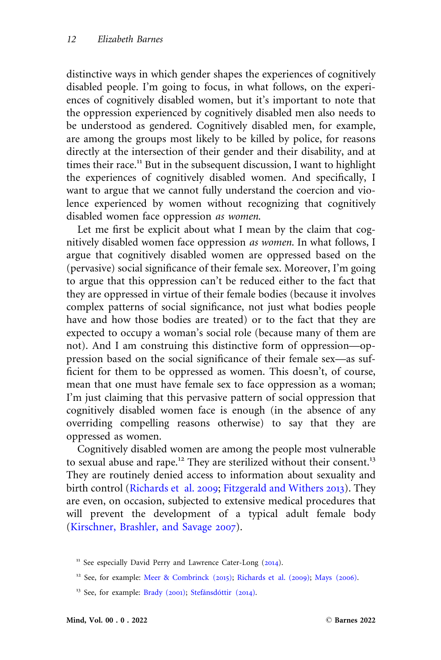distinctive ways in which gender shapes the experiences of cognitively disabled people. I'm going to focus, in what follows, on the experiences of cognitively disabled women, but it's important to note that the oppression experienced by cognitively disabled men also needs to be understood as gendered. Cognitively disabled men, for example, are among the groups most likely to be killed by police, for reasons directly at the intersection of their gender and their disability, and at times their race.<sup>11</sup> But in the subsequent discussion, I want to highlight the experiences of cognitively disabled women. And specifically, I want to argue that we cannot fully understand the coercion and violence experienced by women without recognizing that cognitively disabled women face oppression as women.

Let me first be explicit about what I mean by the claim that cognitively disabled women face oppression as women. In what follows, I argue that cognitively disabled women are oppressed based on the (pervasive) social significance of their female sex. Moreover, I'm going to argue that this oppression can't be reduced either to the fact that they are oppressed in virtue of their female bodies (because it involves complex patterns of social significance, not just what bodies people have and how those bodies are treated) or to the fact that they are expected to occupy a woman's social role (because many of them are not). And I am construing this distinctive form of oppression—oppression based on the social significance of their female sex—as sufficient for them to be oppressed as women. This doesn't, of course, mean that one must have female sex to face oppression as a woman; I'm just claiming that this pervasive pattern of social oppression that cognitively disabled women face is enough (in the absence of any overriding compelling reasons otherwise) to say that they are oppressed as women.

Cognitively disabled women are among the people most vulnerable to sexual abuse and rape.<sup>12</sup> They are sterilized without their consent.<sup>13</sup> They are routinely denied access to information about sexuality and birth control [\(Richards et al.](#page-27-0) 2009; [Fitzgerald and Withers](#page-25-0) 2013). They are even, on occasion, subjected to extensive medical procedures that will prevent the development of a typical adult female body ([Kirschner, Brashler, and Savage](#page-26-0) 2007).

<sup>&</sup>lt;sup>11</sup> See especially David Perry and Lawrence Cater-Long ([2014](#page-27-0)).

<sup>&</sup>lt;sup>12</sup> See, for example: [Meer](#page-26-0) & [Combrinck \(](#page-26-0)2015); [Richards et al. \(](#page-27-0)2009); [Mays \(](#page-26-0)2006).

<sup>&</sup>lt;sup>13</sup> See, for example: [Brady \(](#page-25-0)2001); Stefánsdóttir (2014).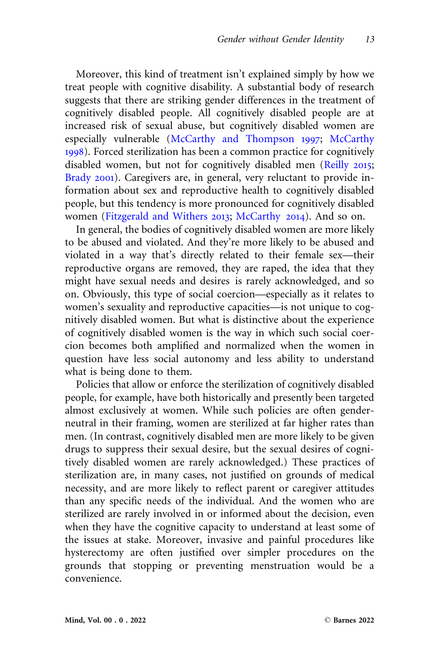Moreover, this kind of treatment isn't explained simply by how we treat people with cognitive disability. A substantial body of research suggests that there are striking gender differences in the treatment of cognitively disabled people. All cognitively disabled people are at increased risk of sexual abuse, but cognitively disabled women are especially vulnerable [\(McCarthy and Thompson](#page-26-0) 1997; [McCarthy](#page-26-0) [1998](#page-26-0)). Forced sterilization has been a common practice for cognitively disabled women, but not for cognitively disabled men [\(Reilly](#page-27-0) 2015; [Brady](#page-25-0) 2001). Caregivers are, in general, very reluctant to provide information about sex and reproductive health to cognitively disabled people, but this tendency is more pronounced for cognitively disabled women ([Fitzgerald and Withers](#page-25-0) 2013; [McCarthy](#page-26-0) 2014). And so on.

In general, the bodies of cognitively disabled women are more likely to be abused and violated. And they're more likely to be abused and violated in a way that's directly related to their female sex—their reproductive organs are removed, they are raped, the idea that they might have sexual needs and desires is rarely acknowledged, and so on. Obviously, this type of social coercion—especially as it relates to women's sexuality and reproductive capacities—is not unique to cognitively disabled women. But what is distinctive about the experience of cognitively disabled women is the way in which such social coercion becomes both amplified and normalized when the women in question have less social autonomy and less ability to understand what is being done to them.

Policies that allow or enforce the sterilization of cognitively disabled people, for example, have both historically and presently been targeted almost exclusively at women. While such policies are often genderneutral in their framing, women are sterilized at far higher rates than men. (In contrast, cognitively disabled men are more likely to be given drugs to suppress their sexual desire, but the sexual desires of cognitively disabled women are rarely acknowledged.) These practices of sterilization are, in many cases, not justified on grounds of medical necessity, and are more likely to reflect parent or caregiver attitudes than any specific needs of the individual. And the women who are sterilized are rarely involved in or informed about the decision, even when they have the cognitive capacity to understand at least some of the issues at stake. Moreover, invasive and painful procedures like hysterectomy are often justified over simpler procedures on the grounds that stopping or preventing menstruation would be a convenience.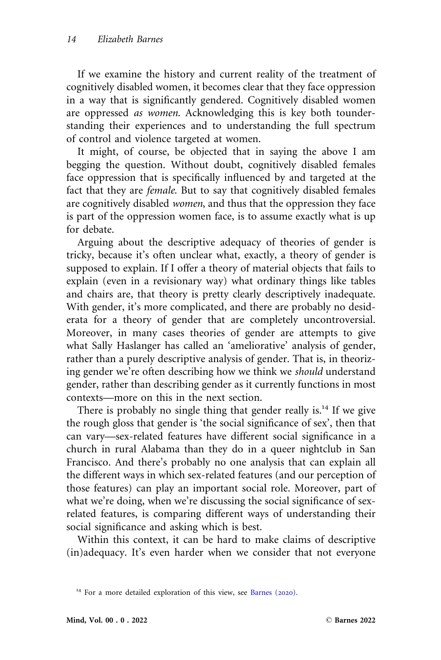If we examine the history and current reality of the treatment of cognitively disabled women, it becomes clear that they face oppression in a way that is significantly gendered. Cognitively disabled women are oppressed as women. Acknowledging this is key both tounderstanding their experiences and to understanding the full spectrum of control and violence targeted at women.

It might, of course, be objected that in saying the above I am begging the question. Without doubt, cognitively disabled females face oppression that is specifically influenced by and targeted at the fact that they are female. But to say that cognitively disabled females are cognitively disabled women, and thus that the oppression they face is part of the oppression women face, is to assume exactly what is up for debate.

Arguing about the descriptive adequacy of theories of gender is tricky, because it's often unclear what, exactly, a theory of gender is supposed to explain. If I offer a theory of material objects that fails to explain (even in a revisionary way) what ordinary things like tables and chairs are, that theory is pretty clearly descriptively inadequate. With gender, it's more complicated, and there are probably no desiderata for a theory of gender that are completely uncontroversial. Moreover, in many cases theories of gender are attempts to give what Sally Haslanger has called an 'ameliorative' analysis of gender, rather than a purely descriptive analysis of gender. That is, in theorizing gender we're often describing how we think we should understand gender, rather than describing gender as it currently functions in most contexts—more on this in the next section.

There is probably no single thing that gender really is.<sup>14</sup> If we give the rough gloss that gender is 'the social significance of sex', then that can vary—sex-related features have different social significance in a church in rural Alabama than they do in a queer nightclub in San Francisco. And there's probably no one analysis that can explain all the different ways in which sex-related features (and our perception of those features) can play an important social role. Moreover, part of what we're doing, when we're discussing the social significance of sexrelated features, is comparing different ways of understanding their social significance and asking which is best.

Within this context, it can be hard to make claims of descriptive (in)adequacy. It's even harder when we consider that not everyone

<sup>&</sup>lt;sup>14</sup> For a more detailed exploration of this view, see [Barnes \(](#page-25-0)2020).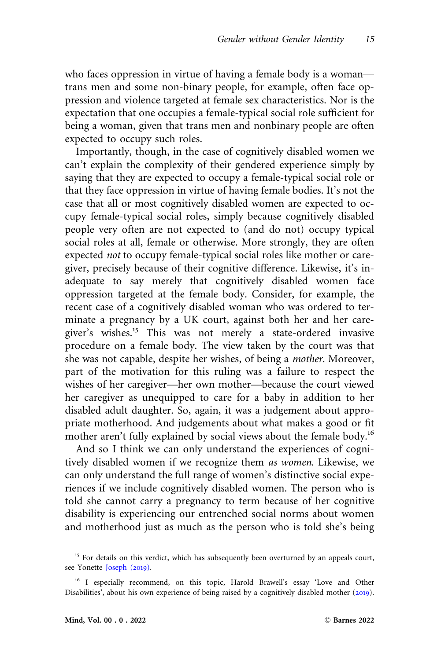who faces oppression in virtue of having a female body is a woman trans men and some non-binary people, for example, often face oppression and violence targeted at female sex characteristics. Nor is the expectation that one occupies a female-typical social role sufficient for being a woman, given that trans men and nonbinary people are often expected to occupy such roles.

Importantly, though, in the case of cognitively disabled women we can't explain the complexity of their gendered experience simply by saying that they are expected to occupy a female-typical social role or that they face oppression in virtue of having female bodies. It's not the case that all or most cognitively disabled women are expected to occupy female-typical social roles, simply because cognitively disabled people very often are not expected to (and do not) occupy typical social roles at all, female or otherwise. More strongly, they are often expected not to occupy female-typical social roles like mother or caregiver, precisely because of their cognitive difference. Likewise, it's inadequate to say merely that cognitively disabled women face oppression targeted at the female body. Consider, for example, the recent case of a cognitively disabled woman who was ordered to terminate a pregnancy by a UK court, against both her and her caregiver's wishes.<sup>15</sup> This was not merely a state-ordered invasive procedure on a female body. The view taken by the court was that she was not capable, despite her wishes, of being a mother. Moreover, part of the motivation for this ruling was a failure to respect the wishes of her caregiver—her own mother—because the court viewed her caregiver as unequipped to care for a baby in addition to her disabled adult daughter. So, again, it was a judgement about appropriate motherhood. And judgements about what makes a good or fit mother aren't fully explained by social views about the female body.<sup>16</sup>

And so I think we can only understand the experiences of cognitively disabled women if we recognize them as women. Likewise, we can only understand the full range of women's distinctive social experiences if we include cognitively disabled women. The person who is told she cannot carry a pregnancy to term because of her cognitive disability is experiencing our entrenched social norms about women and motherhood just as much as the person who is told she's being

<sup>&</sup>lt;sup>15</sup> For details on this verdict, which has subsequently been overturned by an appeals court, see Yonette [Joseph \(](#page-26-0)2019).

<sup>&</sup>lt;sup>16</sup> I especially recommend, on this topic, Harold Brawell's essay 'Love and Other Disabilities', about his own experience of being raised by a cognitively disabled mother ([2019](#page-25-0)).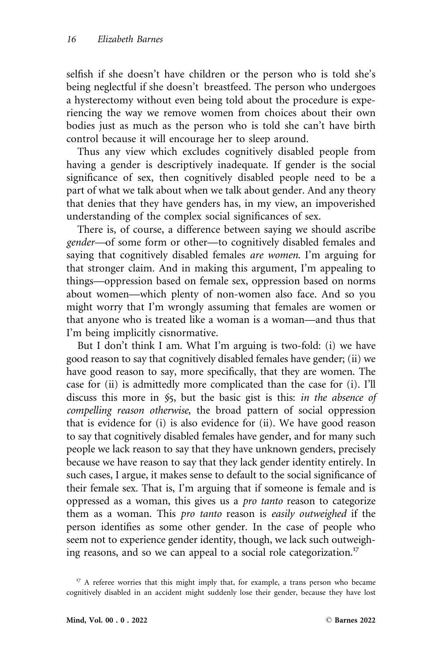selfish if she doesn't have children or the person who is told she's being neglectful if she doesn't breastfeed. The person who undergoes a hysterectomy without even being told about the procedure is experiencing the way we remove women from choices about their own bodies just as much as the person who is told she can't have birth control because it will encourage her to sleep around.

Thus any view which excludes cognitively disabled people from having a gender is descriptively inadequate. If gender is the social significance of sex, then cognitively disabled people need to be a part of what we talk about when we talk about gender. And any theory that denies that they have genders has, in my view, an impoverished understanding of the complex social significances of sex.

There is, of course, a difference between saying we should ascribe gender—of some form or other—to cognitively disabled females and saying that cognitively disabled females *are women*. I'm arguing for that stronger claim. And in making this argument, I'm appealing to things—oppression based on female sex, oppression based on norms about women—which plenty of non-women also face. And so you might worry that I'm wrongly assuming that females are women or that anyone who is treated like a woman is a woman—and thus that I'm being implicitly cisnormative.

But I don't think I am. What I'm arguing is two-fold: (i) we have good reason to say that cognitively disabled females have gender; (ii) we have good reason to say, more specifically, that they are women. The case for (ii) is admittedly more complicated than the case for (i). I'll discuss this more in §5, but the basic gist is this: in the absence of compelling reason otherwise, the broad pattern of social oppression that is evidence for (i) is also evidence for (ii). We have good reason to say that cognitively disabled females have gender, and for many such people we lack reason to say that they have unknown genders, precisely because we have reason to say that they lack gender identity entirely. In such cases, I argue, it makes sense to default to the social significance of their female sex. That is, I'm arguing that if someone is female and is oppressed as a woman, this gives us a pro tanto reason to categorize them as a woman. This pro tanto reason is easily outweighed if the person identifies as some other gender. In the case of people who seem not to experience gender identity, though, we lack such outweighing reasons, and so we can appeal to a social role categorization.<sup>17</sup>

 $17$  A referee worries that this might imply that, for example, a trans person who became cognitively disabled in an accident might suddenly lose their gender, because they have lost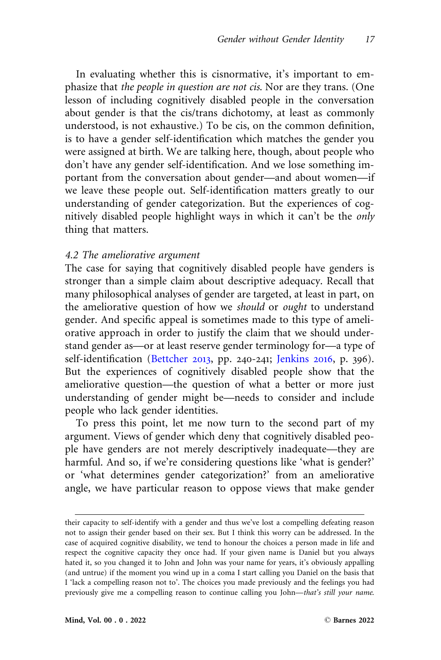In evaluating whether this is cisnormative, it's important to emphasize that the people in question are not cis. Nor are they trans. (One lesson of including cognitively disabled people in the conversation about gender is that the cis/trans dichotomy, at least as commonly understood, is not exhaustive.) To be cis, on the common definition, is to have a gender self-identification which matches the gender you were assigned at birth. We are talking here, though, about people who don't have any gender self-identification. And we lose something important from the conversation about gender—and about women—if we leave these people out. Self-identification matters greatly to our understanding of gender categorization. But the experiences of cognitively disabled people highlight ways in which it can't be the only thing that matters.

#### 4.2 The ameliorative argument

The case for saying that cognitively disabled people have genders is stronger than a simple claim about descriptive adequacy. Recall that many philosophical analyses of gender are targeted, at least in part, on the ameliorative question of how we should or ought to understand gender. And specific appeal is sometimes made to this type of ameliorative approach in order to justify the claim that we should understand gender as—or at least reserve gender terminology for—a type of self-identification ([Bettcher](#page-25-0) 2013, pp. 240-241; [Jenkins](#page-26-0) 2016, p. 396). But the experiences of cognitively disabled people show that the ameliorative question—the question of what a better or more just understanding of gender might be—needs to consider and include people who lack gender identities.

To press this point, let me now turn to the second part of my argument. Views of gender which deny that cognitively disabled people have genders are not merely descriptively inadequate—they are harmful. And so, if we're considering questions like 'what is gender?' or 'what determines gender categorization?' from an ameliorative angle, we have particular reason to oppose views that make gender

their capacity to self-identify with a gender and thus we've lost a compelling defeating reason not to assign their gender based on their sex. But I think this worry can be addressed. In the case of acquired cognitive disability, we tend to honour the choices a person made in life and respect the cognitive capacity they once had. If your given name is Daniel but you always hated it, so you changed it to John and John was your name for years, it's obviously appalling (and untrue) if the moment you wind up in a coma I start calling you Daniel on the basis that I 'lack a compelling reason not to'. The choices you made previously and the feelings you had previously give me a compelling reason to continue calling you John—that's still your name.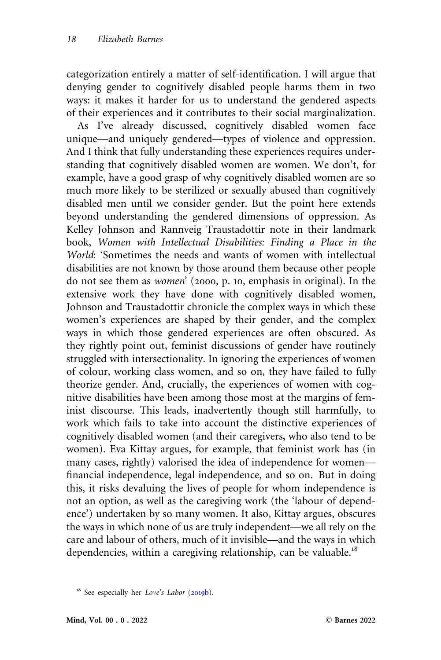categorization entirely a matter of self-identification. I will argue that denying gender to cognitively disabled people harms them in two ways: it makes it harder for us to understand the gendered aspects of their experiences and it contributes to their social marginalization.

As I've already discussed, cognitively disabled women face unique—and uniquely gendered—types of violence and oppression. And I think that fully understanding these experiences requires understanding that cognitively disabled women are women. We don't, for example, have a good grasp of why cognitively disabled women are so much more likely to be sterilized or sexually abused than cognitively disabled men until we consider gender. But the point here extends beyond understanding the gendered dimensions of oppression. As Kelley Johnson and Rannveig Traustadottir note in their landmark book, Women with Intellectual Disabilities: Finding a Place in the World: 'Sometimes the needs and wants of women with intellectual disabilities are not known by those around them because other people do not see them as women' (2000, p. 10, emphasis in original). In the extensive work they have done with cognitively disabled women, Johnson and Traustadottir chronicle the complex ways in which these women's experiences are shaped by their gender, and the complex ways in which those gendered experiences are often obscured. As they rightly point out, feminist discussions of gender have routinely struggled with intersectionality. In ignoring the experiences of women of colour, working class women, and so on, they have failed to fully theorize gender. And, crucially, the experiences of women with cognitive disabilities have been among those most at the margins of feminist discourse. This leads, inadvertently though still harmfully, to work which fails to take into account the distinctive experiences of cognitively disabled women (and their caregivers, who also tend to be women). Eva Kittay argues, for example, that feminist work has (in many cases, rightly) valorised the idea of independence for women financial independence, legal independence, and so on. But in doing this, it risks devaluing the lives of people for whom independence is not an option, as well as the caregiving work (the 'labour of dependence') undertaken by so many women. It also, Kittay argues, obscures the ways in which none of us are truly independent—we all rely on the care and labour of others, much of it invisible—and the ways in which dependencies, within a caregiving relationship, can be valuable.<sup>18</sup>

<sup>&</sup>lt;sup>18</sup> See especially her Love's Labor ([2019](#page-26-0)b).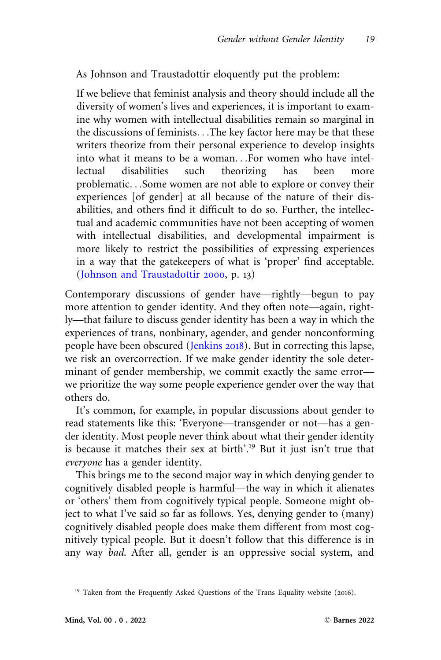As Johnson and Traustadottir eloquently put the problem:

If we believe that feminist analysis and theory should include all the diversity of women's lives and experiences, it is important to examine why women with intellectual disabilities remain so marginal in the discussions of feminists...The key factor here may be that these writers theorize from their personal experience to develop insights into what it means to be a woman...For women who have intellectual disabilities such theorizing has been more problematic...Some women are not able to explore or convey their experiences [of gender] at all because of the nature of their disabilities, and others find it difficult to do so. Further, the intellectual and academic communities have not been accepting of women with intellectual disabilities, and developmental impairment is more likely to restrict the possibilities of expressing experiences in a way that the gatekeepers of what is 'proper' find acceptable. ([Johnson and Traustadottir](#page-26-0) 2000, p. 13)

Contemporary discussions of gender have—rightly—begun to pay more attention to gender identity. And they often note—again, rightly—that failure to discuss gender identity has been a way in which the experiences of trans, nonbinary, agender, and gender nonconforming people have been obscured ([Jenkins](#page-26-0) 2018). But in correcting this lapse, we risk an overcorrection. If we make gender identity the sole determinant of gender membership, we commit exactly the same error we prioritize the way some people experience gender over the way that others do.

It's common, for example, in popular discussions about gender to read statements like this: 'Everyone—transgender or not—has a gender identity. Most people never think about what their gender identity is because it matches their sex at birth'.<sup>19</sup> But it just isn't true that everyone has a gender identity.

This brings me to the second major way in which denying gender to cognitively disabled people is harmful—the way in which it alienates or 'others' them from cognitively typical people. Someone might object to what I've said so far as follows. Yes, denying gender to (many) cognitively disabled people does make them different from most cognitively typical people. But it doesn't follow that this difference is in any way bad. After all, gender is an oppressive social system, and

<sup>&</sup>lt;sup>19</sup> Taken from the Frequently Asked Questions of the Trans Equality website (2016).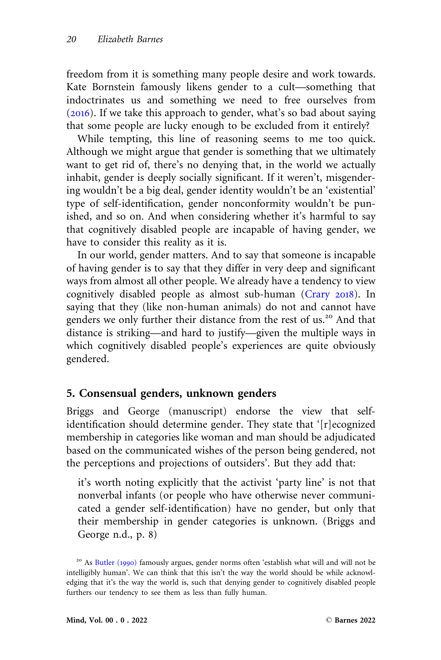freedom from it is something many people desire and work towards. Kate Bornstein famously likens gender to a cult—something that indoctrinates us and something we need to free ourselves from  $(2016)$  $(2016)$  $(2016)$ . If we take this approach to gender, what's so bad about saying that some people are lucky enough to be excluded from it entirely?

While tempting, this line of reasoning seems to me too quick. Although we might argue that gender is something that we ultimately want to get rid of, there's no denying that, in the world we actually inhabit, gender is deeply socially significant. If it weren't, misgendering wouldn't be a big deal, gender identity wouldn't be an 'existential' type of self-identification, gender nonconformity wouldn't be punished, and so on. And when considering whether it's harmful to say that cognitively disabled people are incapable of having gender, we have to consider this reality as it is.

In our world, gender matters. And to say that someone is incapable of having gender is to say that they differ in very deep and significant ways from almost all other people. We already have a tendency to view cognitively disabled people as almost sub-human [\(Crary](#page-25-0) 2018). In saying that they (like non-human animals) do not and cannot have genders we only further their distance from the rest of us.<sup>20</sup> And that distance is striking—and hard to justify—given the multiple ways in which cognitively disabled people's experiences are quite obviously gendered.

## 5. Consensual genders, unknown genders

Briggs and George (manuscript) endorse the view that selfidentification should determine gender. They state that '[r]ecognized membership in categories like woman and man should be adjudicated based on the communicated wishes of the person being gendered, not the perceptions and projections of outsiders'. But they add that:

it's worth noting explicitly that the activist 'party line' is not that nonverbal infants (or people who have otherwise never communicated a gender self-identification) have no gender, but only that their membership in gender categories is unknown. (Briggs and George n.d., p. 8)

<sup>&</sup>lt;sup>20</sup> As [Butler \(](#page-25-0)1990) famously argues, gender norms often 'establish what will and will not be intelligibly human'. We can think that this isn't the way the world should be while acknowledging that it's the way the world is, such that denying gender to cognitively disabled people furthers our tendency to see them as less than fully human.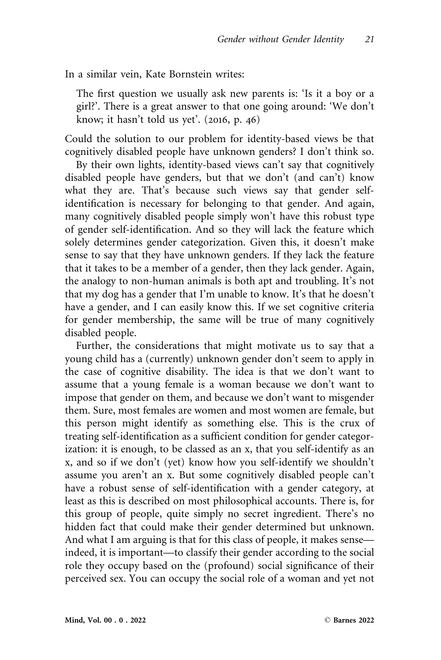In a similar vein, Kate Bornstein writes:

The first question we usually ask new parents is: 'Is it a boy or a girl?'. There is a great answer to that one going around: 'We don't know; it hasn't told us yet'.  $(2016, p. 46)$ 

Could the solution to our problem for identity-based views be that cognitively disabled people have unknown genders? I don't think so.

By their own lights, identity-based views can't say that cognitively disabled people have genders, but that we don't (and can't) know what they are. That's because such views say that gender selfidentification is necessary for belonging to that gender. And again, many cognitively disabled people simply won't have this robust type of gender self-identification. And so they will lack the feature which solely determines gender categorization. Given this, it doesn't make sense to say that they have unknown genders. If they lack the feature that it takes to be a member of a gender, then they lack gender. Again, the analogy to non-human animals is both apt and troubling. It's not that my dog has a gender that I'm unable to know. It's that he doesn't have a gender, and I can easily know this. If we set cognitive criteria for gender membership, the same will be true of many cognitively disabled people.

Further, the considerations that might motivate us to say that a young child has a (currently) unknown gender don't seem to apply in the case of cognitive disability. The idea is that we don't want to assume that a young female is a woman because we don't want to impose that gender on them, and because we don't want to misgender them. Sure, most females are women and most women are female, but this person might identify as something else. This is the crux of treating self-identification as a sufficient condition for gender categorization: it is enough, to be classed as an x, that you self-identify as an x, and so if we don't (yet) know how you self-identify we shouldn't assume you aren't an x. But some cognitively disabled people can't have a robust sense of self-identification with a gender category, at least as this is described on most philosophical accounts. There is, for this group of people, quite simply no secret ingredient. There's no hidden fact that could make their gender determined but unknown. And what I am arguing is that for this class of people, it makes sense indeed, it is important—to classify their gender according to the social role they occupy based on the (profound) social significance of their perceived sex. You can occupy the social role of a woman and yet not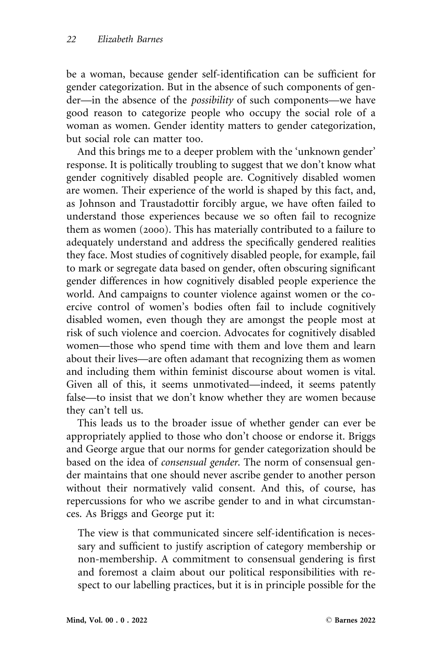be a woman, because gender self-identification can be sufficient for gender categorization. But in the absence of such components of gender—in the absence of the possibility of such components—we have good reason to categorize people who occupy the social role of a woman as women. Gender identity matters to gender categorization, but social role can matter too.

And this brings me to a deeper problem with the 'unknown gender' response. It is politically troubling to suggest that we don't know what gender cognitively disabled people are. Cognitively disabled women are women. Their experience of the world is shaped by this fact, and, as Johnson and Traustadottir forcibly argue, we have often failed to understand those experiences because we so often fail to recognize them as women (2000). This has materially contributed to a failure to adequately understand and address the specifically gendered realities they face. Most studies of cognitively disabled people, for example, fail to mark or segregate data based on gender, often obscuring significant gender differences in how cognitively disabled people experience the world. And campaigns to counter violence against women or the coercive control of women's bodies often fail to include cognitively disabled women, even though they are amongst the people most at risk of such violence and coercion. Advocates for cognitively disabled women—those who spend time with them and love them and learn about their lives—are often adamant that recognizing them as women and including them within feminist discourse about women is vital. Given all of this, it seems unmotivated—indeed, it seems patently false—to insist that we don't know whether they are women because they can't tell us.

This leads us to the broader issue of whether gender can ever be appropriately applied to those who don't choose or endorse it. Briggs and George argue that our norms for gender categorization should be based on the idea of *consensual gender*. The norm of consensual gender maintains that one should never ascribe gender to another person without their normatively valid consent. And this, of course, has repercussions for who we ascribe gender to and in what circumstances. As Briggs and George put it:

The view is that communicated sincere self-identification is necessary and sufficient to justify ascription of category membership or non-membership. A commitment to consensual gendering is first and foremost a claim about our political responsibilities with respect to our labelling practices, but it is in principle possible for the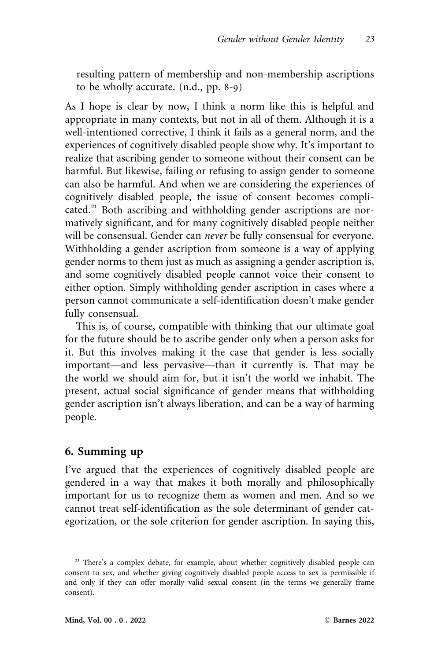resulting pattern of membership and non-membership ascriptions to be wholly accurate. (n.d., pp. 8-9)

As I hope is clear by now, I think a norm like this is helpful and appropriate in many contexts, but not in all of them. Although it is a well-intentioned corrective, I think it fails as a general norm, and the experiences of cognitively disabled people show why. It's important to realize that ascribing gender to someone without their consent can be harmful. But likewise, failing or refusing to assign gender to someone can also be harmful. And when we are considering the experiences of cognitively disabled people, the issue of consent becomes complicated.<sup>21</sup> Both ascribing and withholding gender ascriptions are normatively significant, and for many cognitively disabled people neither will be consensual. Gender can never be fully consensual for everyone. Withholding a gender ascription from someone is a way of applying gender norms to them just as much as assigning a gender ascription is, and some cognitively disabled people cannot voice their consent to either option. Simply withholding gender ascription in cases where a person cannot communicate a self-identification doesn't make gender fully consensual.

This is, of course, compatible with thinking that our ultimate goal for the future should be to ascribe gender only when a person asks for it. But this involves making it the case that gender is less socially important—and less pervasive—than it currently is. That may be the world we should aim for, but it isn't the world we inhabit. The present, actual social significance of gender means that withholding gender ascription isn't always liberation, and can be a way of harming people.

## 6. Summing up

I've argued that the experiences of cognitively disabled people are gendered in a way that makes it both morally and philosophically important for us to recognize them as women and men. And so we cannot treat self-identification as the sole determinant of gender categorization, or the sole criterion for gender ascription. In saying this,

<sup>&</sup>lt;sup>21</sup> There's a complex debate, for example, about whether cognitively disabled people can consent to sex, and whether giving cognitively disabled people access to sex is permissible if and only if they can offer morally valid sexual consent (in the terms we generally frame consent).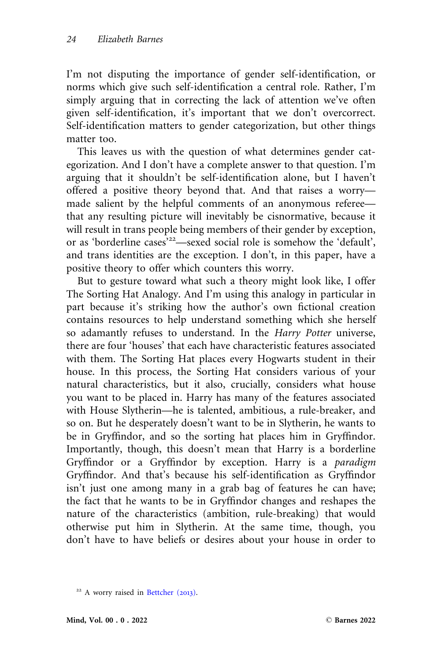I'm not disputing the importance of gender self-identification, or norms which give such self-identification a central role. Rather, I'm simply arguing that in correcting the lack of attention we've often given self-identification, it's important that we don't overcorrect. Self-identification matters to gender categorization, but other things matter too.

This leaves us with the question of what determines gender categorization. And I don't have a complete answer to that question. I'm arguing that it shouldn't be self-identification alone, but I haven't offered a positive theory beyond that. And that raises a worry made salient by the helpful comments of an anonymous referee that any resulting picture will inevitably be cisnormative, because it will result in trans people being members of their gender by exception, or as 'borderline cases'<sup>22</sup>—sexed social role is somehow the 'default', and trans identities are the exception. I don't, in this paper, have a positive theory to offer which counters this worry.

But to gesture toward what such a theory might look like, I offer The Sorting Hat Analogy. And I'm using this analogy in particular in part because it's striking how the author's own fictional creation contains resources to help understand something which she herself so adamantly refuses to understand. In the Harry Potter universe, there are four 'houses' that each have characteristic features associated with them. The Sorting Hat places every Hogwarts student in their house. In this process, the Sorting Hat considers various of your natural characteristics, but it also, crucially, considers what house you want to be placed in. Harry has many of the features associated with House Slytherin—he is talented, ambitious, a rule-breaker, and so on. But he desperately doesn't want to be in Slytherin, he wants to be in Gryffindor, and so the sorting hat places him in Gryffindor. Importantly, though, this doesn't mean that Harry is a borderline Gryffindor or a Gryffindor by exception. Harry is a paradigm Gryffindor. And that's because his self-identification as Gryffindor isn't just one among many in a grab bag of features he can have; the fact that he wants to be in Gryffindor changes and reshapes the nature of the characteristics (ambition, rule-breaking) that would otherwise put him in Slytherin. At the same time, though, you don't have to have beliefs or desires about your house in order to

<sup>&</sup>lt;sup>22</sup> A worry raised in [Bettcher \(](#page-25-0)2013).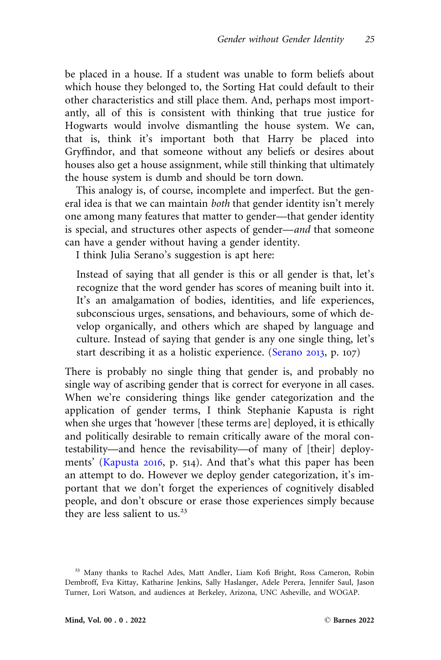be placed in a house. If a student was unable to form beliefs about which house they belonged to, the Sorting Hat could default to their other characteristics and still place them. And, perhaps most importantly, all of this is consistent with thinking that true justice for Hogwarts would involve dismantling the house system. We can, that is, think it's important both that Harry be placed into Gryffindor, and that someone without any beliefs or desires about houses also get a house assignment, while still thinking that ultimately the house system is dumb and should be torn down.

This analogy is, of course, incomplete and imperfect. But the general idea is that we can maintain both that gender identity isn't merely one among many features that matter to gender—that gender identity is special, and structures other aspects of gender—and that someone can have a gender without having a gender identity.

I think Julia Serano's suggestion is apt here:

Instead of saying that all gender is this or all gender is that, let's recognize that the word gender has scores of meaning built into it. It's an amalgamation of bodies, identities, and life experiences, subconscious urges, sensations, and behaviours, some of which develop organically, and others which are shaped by language and culture. Instead of saying that gender is any one single thing, let's start describing it as a holistic experience. [\(Serano](#page-27-0) 2013, p. 107)

There is probably no single thing that gender is, and probably no single way of ascribing gender that is correct for everyone in all cases. When we're considering things like gender categorization and the application of gender terms, I think Stephanie Kapusta is right when she urges that 'however [these terms are] deployed, it is ethically and politically desirable to remain critically aware of the moral contestability—and hence the revisability—of many of [their] deployments' [\(Kapusta](#page-26-0) 2016, p. 514). And that's what this paper has been an attempt to do. However we deploy gender categorization, it's important that we don't forget the experiences of cognitively disabled people, and don't obscure or erase those experiences simply because they are less salient to us. $23$ 

<sup>&</sup>lt;sup>23</sup> Many thanks to Rachel Ades, Matt Andler, Liam Kofi Bright, Ross Cameron, Robin Dembroff, Eva Kittay, Katharine Jenkins, Sally Haslanger, Adele Perera, Jennifer Saul, Jason Turner, Lori Watson, and audiences at Berkeley, Arizona, UNC Asheville, and WOGAP.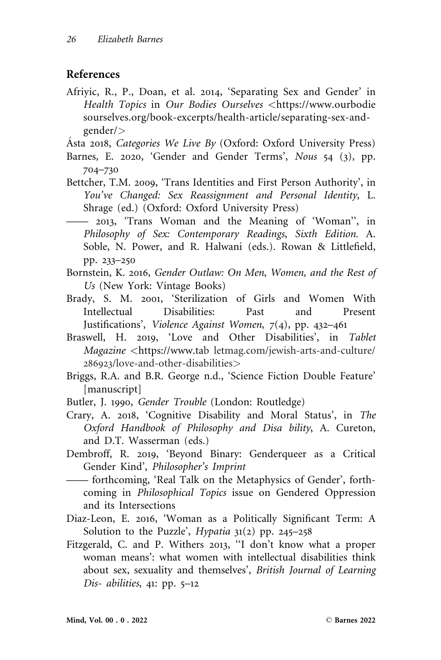#### <span id="page-25-0"></span>References

Afriyic, R., P., Doan, et al. 2014, 'Separating Sex and Gender' in Health Topics in Our Bodies Ourselves <[https://www.ourbodie](https://www.ourbodiesourselves.org/book-excerpts/health-article/separating-sex-and-gender/) [sourselves.org/book-excerpts/health-article/separating-sex-and](https://www.ourbodiesourselves.org/book-excerpts/health-article/separating-sex-and-gender/)[gender/](https://www.ourbodiesourselves.org/book-excerpts/health-article/separating-sex-and-gender/)>

Asta 2018, Categories We Live By (Oxford: Oxford University Press)

- Barnes, E. 2020, 'Gender and Gender Terms', Nous 54 (3), pp. 704–730
- Bettcher, T.M. 2009, 'Trans Identities and First Person Authority', in You've Changed: Sex Reassignment and Personal Identity, L. Shrage (ed.) (Oxford: Oxford University Press)
- —— 2013, 'Trans Woman and the Meaning of 'Woman'', in Philosophy of Sex: Contemporary Readings, Sixth Edition. A. Soble, N. Power, and R. Halwani (eds.). Rowan & Littlefield, pp. 233–250
- Bornstein, K. 2016, Gender Outlaw: On Men, Women, and the Rest of Us (New York: Vintage Books)
- Brady, S. M. 2001, 'Sterilization of Girls and Women With Intellectual Disabilities: Past and Present Justifications', Violence Against Women, 7(4), pp. 432–461
- Braswell, H. 2019, 'Love and Other Disabilities', in Tablet Magazine <<https://www.ta>b letmag.com/jewish-arts-and-culture/ 286923/love-and-other-disabilities>
- Briggs, R.A. and B.R. George n.d., 'Science Fiction Double Feature' [manuscript]
- Butler, J. 1990, Gender Trouble (London: Routledge)
- Crary, A. 2018, 'Cognitive Disability and Moral Status', in The Oxford Handbook of Philosophy and Disa bility, A. Cureton, and D.T. Wasserman (eds.)
- Dembroff, R. 2019, 'Beyond Binary: Genderqueer as a Critical Gender Kind', Philosopher's Imprint
- —— forthcoming, 'Real Talk on the Metaphysics of Gender', forthcoming in Philosophical Topics issue on Gendered Oppression and its Intersections
- Diaz-Leon, E. 2016, 'Woman as a Politically Significant Term: A Solution to the Puzzle', *Hypatia*  $31(2)$  pp. 245–258
- Fitzgerald, C. and P. Withers 2013, ''I don't know what a proper woman means': what women with intellectual disabilities think about sex, sexuality and themselves', British Journal of Learning Dis- abilities, 41: pp. 5–12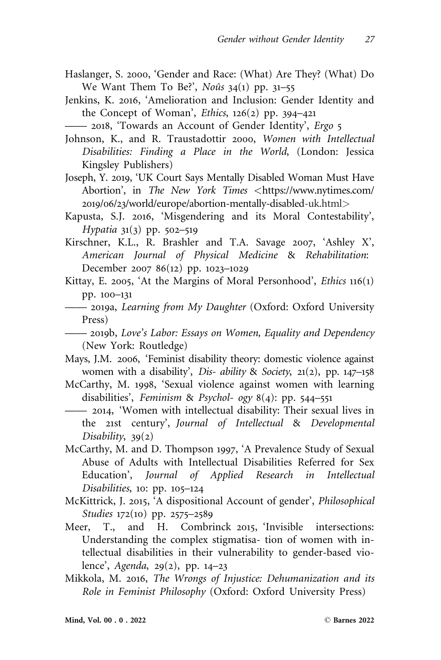- <span id="page-26-0"></span>Haslanger, S. 2000, 'Gender and Race: (What) Are They? (What) Do We Want Them To Be?', Noûs  $34(1)$  pp.  $31-55$
- Jenkins, K. 2016, 'Amelioration and Inclusion: Gender Identity and the Concept of Woman', *Ethics*,  $126(2)$  pp.  $394-421$
- —— 2018, 'Towards an Account of Gender Identity', Ergo 5
- Johnson, K., and R. Traustadottir 2000, Women with Intellectual Disabilities: Finding a Place in the World, (London: Jessica Kingsley Publishers)
- Joseph, Y. 2019, 'UK Court Says Mentally Disabled Woman Must Have Abortion', in The New York Times <[https://www.nytimes.com/](https://www.nytimes.com/2019/06/23/world/europe/abortion-mentally-disabled) 2019/06/23[/world/europe/abortion-mentally-disabled-](https://www.nytimes.com/2019/06/23/world/europe/abortion-mentally-disabled)uk.html>
- Kapusta, S.J. 2016, 'Misgendering and its Moral Contestability', Hypatia 31(3) pp. 502–519
- Kirschner, K.L., R. Brashler and T.A. Savage 2007, 'Ashley X', American Journal of Physical Medicine & Rehabilitation: December 2007 86(12) pp. 1023–1029
- Kittay, E. 2005, 'At the Margins of Moral Personhood', Ethics 116(1) pp. 100–131
- —— 2019a, Learning from My Daughter (Oxford: Oxford University Press)
- —— 2019b, Love's Labor: Essays on Women, Equality and Dependency (New York: Routledge)
- Mays, J.M. 2006, 'Feminist disability theory: domestic violence against women with a disability', Dis- ability & Society, 21(2), pp. 147–158
- McCarthy, M. 1998, 'Sexual violence against women with learning disabilities', Feminism & Psychol- ogy 8(4): pp. 544–551
- —— 2014, 'Women with intellectual disability: Their sexual lives in the 21st century', Journal of Intellectual & Developmental Disability,  $39(2)$
- McCarthy, M. and D. Thompson 1997, 'A Prevalence Study of Sexual Abuse of Adults with Intellectual Disabilities Referred for Sex Education', Journal of Applied Research in Intellectual Disabilities, 10: pp. 105–124
- McKittrick, J. 2015, 'A dispositional Account of gender', Philosophical Studies 172(10) pp. 2575–2589
- Meer, T., and H. Combrinck 2015, 'Invisible intersections: Understanding the complex stigmatisa- tion of women with intellectual disabilities in their vulnerability to gender-based violence', Agenda, 29(2), pp. 14–23
- Mikkola, M. 2016, The Wrongs of Injustice: Dehumanization and its Role in Feminist Philosophy (Oxford: Oxford University Press)